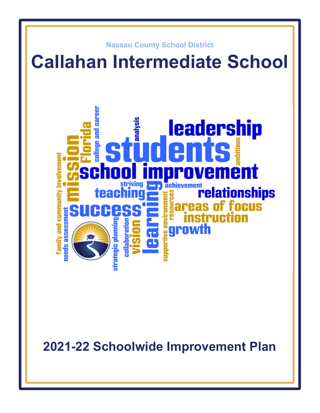

**2021-22 Schoolwide Improvement Plan**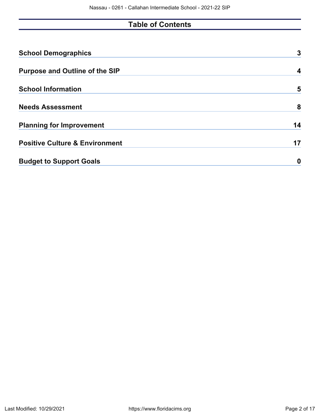# **Table of Contents**

| <b>School Demographics</b>                | 3  |
|-------------------------------------------|----|
| <b>Purpose and Outline of the SIP</b>     | 4  |
| <b>School Information</b>                 | 5  |
| <b>Needs Assessment</b>                   | 8  |
| <b>Planning for Improvement</b>           | 14 |
| <b>Positive Culture &amp; Environment</b> | 17 |
| <b>Budget to Support Goals</b>            | 0  |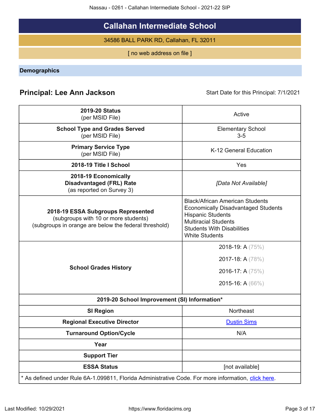Nassau - 0261 - Callahan Intermediate School - 2021-22 SIP

# **Callahan Intermediate School**

34586 BALL PARK RD, Callahan, FL 32011

[ no web address on file ]

<span id="page-2-0"></span>**Demographics**

# **Principal: Lee Ann Jackson** Start Date for this Principal: 7/1/2021

| <b>2019-20 Status</b><br>(per MSID File)                                                                                            | Active                                                                                                                                                                                                        |
|-------------------------------------------------------------------------------------------------------------------------------------|---------------------------------------------------------------------------------------------------------------------------------------------------------------------------------------------------------------|
| <b>School Type and Grades Served</b><br>(per MSID File)                                                                             | <b>Elementary School</b><br>$3-5$                                                                                                                                                                             |
| <b>Primary Service Type</b><br>(per MSID File)                                                                                      | K-12 General Education                                                                                                                                                                                        |
| 2018-19 Title I School                                                                                                              | Yes                                                                                                                                                                                                           |
| 2018-19 Economically<br><b>Disadvantaged (FRL) Rate</b><br>(as reported on Survey 3)                                                | [Data Not Available]                                                                                                                                                                                          |
| 2018-19 ESSA Subgroups Represented<br>(subgroups with 10 or more students)<br>(subgroups in orange are below the federal threshold) | <b>Black/African American Students</b><br><b>Economically Disadvantaged Students</b><br><b>Hispanic Students</b><br><b>Multiracial Students</b><br><b>Students With Disabilities</b><br><b>White Students</b> |
| <b>School Grades History</b>                                                                                                        | 2018-19: A $(75%)$<br>2017-18: A (78%)<br>2016-17: A $(75%)$<br>2015-16: A $(66\%)$                                                                                                                           |
| 2019-20 School Improvement (SI) Information*                                                                                        |                                                                                                                                                                                                               |
| <b>SI Region</b>                                                                                                                    | Northeast                                                                                                                                                                                                     |
| <b>Regional Executive Director</b>                                                                                                  | <b>Dustin Sims</b>                                                                                                                                                                                            |
| <b>Turnaround Option/Cycle</b>                                                                                                      | N/A                                                                                                                                                                                                           |
| Year                                                                                                                                |                                                                                                                                                                                                               |
| <b>Support Tier</b>                                                                                                                 |                                                                                                                                                                                                               |
| <b>ESSA Status</b>                                                                                                                  | [not available]                                                                                                                                                                                               |
| * As defined under Rule 6A-1.099811, Florida Administrative Code. For more information, click here.                                 |                                                                                                                                                                                                               |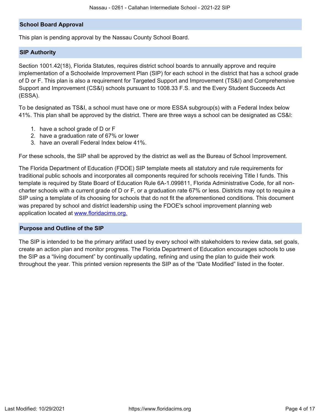#### **School Board Approval**

This plan is pending approval by the Nassau County School Board.

#### **SIP Authority**

Section 1001.42(18), Florida Statutes, requires district school boards to annually approve and require implementation of a Schoolwide Improvement Plan (SIP) for each school in the district that has a school grade of D or F. This plan is also a requirement for Targeted Support and Improvement (TS&I) and Comprehensive Support and Improvement (CS&I) schools pursuant to 1008.33 F.S. and the Every Student Succeeds Act (ESSA).

To be designated as TS&I, a school must have one or more ESSA subgroup(s) with a Federal Index below 41%. This plan shall be approved by the district. There are three ways a school can be designated as CS&I:

- 1. have a school grade of D or F
- 2. have a graduation rate of 67% or lower
- 3. have an overall Federal Index below 41%.

For these schools, the SIP shall be approved by the district as well as the Bureau of School Improvement.

The Florida Department of Education (FDOE) SIP template meets all statutory and rule requirements for traditional public schools and incorporates all components required for schools receiving Title I funds. This template is required by State Board of Education Rule 6A-1.099811, Florida Administrative Code, for all noncharter schools with a current grade of D or F, or a graduation rate 67% or less. Districts may opt to require a SIP using a template of its choosing for schools that do not fit the aforementioned conditions. This document was prepared by school and district leadership using the FDOE's school improvement planning web application located at [www.floridacims.org.](https://www.floridacims.org)

#### <span id="page-3-0"></span>**Purpose and Outline of the SIP**

The SIP is intended to be the primary artifact used by every school with stakeholders to review data, set goals, create an action plan and monitor progress. The Florida Department of Education encourages schools to use the SIP as a "living document" by continually updating, refining and using the plan to guide their work throughout the year. This printed version represents the SIP as of the "Date Modified" listed in the footer.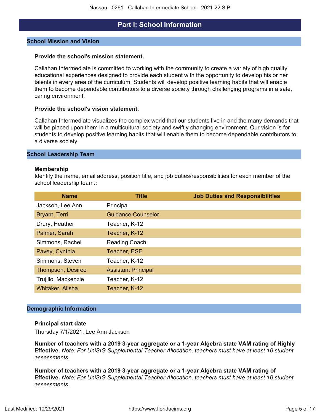# **Part I: School Information**

#### <span id="page-4-0"></span>**School Mission and Vision**

#### **Provide the school's mission statement.**

Callahan Intermediate is committed to working with the community to create a variety of high quality educational experiences designed to provide each student with the opportunity to develop his or her talents in every area of the curriculum. Students will develop positive learning habits that will enable them to become dependable contributors to a diverse society through challenging programs in a safe, caring environment.

#### **Provide the school's vision statement.**

Callahan Intermediate visualizes the complex world that our students live in and the many demands that will be placed upon them in a multicultural society and swiftly changing environment. Our vision is for students to develop positive learning habits that will enable them to become dependable contributors to a diverse society.

#### **School Leadership Team**

#### **Membership**

Identify the name, email address, position title, and job duties/responsibilities for each member of the school leadership team.**:**

| <b>Name</b>         | <b>Title</b>               | <b>Job Duties and Responsibilities</b> |
|---------------------|----------------------------|----------------------------------------|
| Jackson, Lee Ann    | Principal                  |                                        |
| Bryant, Terri       | <b>Guidance Counselor</b>  |                                        |
| Drury, Heather      | Teacher, K-12              |                                        |
| Palmer, Sarah       | Teacher, K-12              |                                        |
| Simmons, Rachel     | <b>Reading Coach</b>       |                                        |
| Pavey, Cynthia      | Teacher, ESE               |                                        |
| Simmons, Steven     | Teacher, K-12              |                                        |
| Thompson, Desiree   | <b>Assistant Principal</b> |                                        |
| Trujillo, Mackenzie | Teacher, K-12              |                                        |
| Whitaker, Alisha    | Teacher, K-12              |                                        |

#### **Demographic Information**

#### **Principal start date**

Thursday 7/1/2021, Lee Ann Jackson

**Number of teachers with a 2019 3-year aggregate or a 1-year Algebra state VAM rating of Highly Effective.** *Note: For UniSIG Supplemental Teacher Allocation, teachers must have at least 10 student assessments.*

**Number of teachers with a 2019 3-year aggregate or a 1-year Algebra state VAM rating of Effective.** *Note: For UniSIG Supplemental Teacher Allocation, teachers must have at least 10 student assessments.*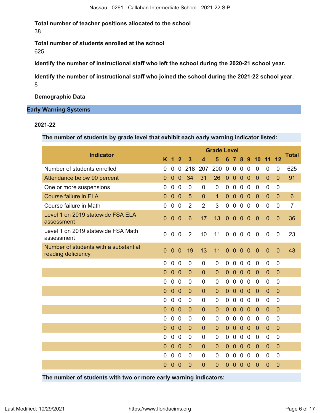**Total number of teacher positions allocated to the school** 38

**Total number of students enrolled at the school** 625

**Identify the number of instructional staff who left the school during the 2020-21 school year.**

**Identify the number of instructional staff who joined the school during the 2021-22 school year.** 8

**Demographic Data**

### **Early Warning Systems**

#### **2021-22**

**The number of students by grade level that exhibit each early warning indicator listed:**

| <b>Indicator</b>                                            |                |                      |                |                 |                | <b>Grade Level</b> |                |                |                |                |                |                |                |                |
|-------------------------------------------------------------|----------------|----------------------|----------------|-----------------|----------------|--------------------|----------------|----------------|----------------|----------------|----------------|----------------|----------------|----------------|
|                                                             | K              | $\blacktriangleleft$ | $\overline{2}$ | 3               | 4              | 5                  | 6              |                | 8              | 9              | 10             | 11             | 12             | <b>Total</b>   |
| Number of students enrolled                                 | $\Omega$       | 0                    | 0              | 218             | 207            | 200                | 0              | $\mathbf 0$    | $\mathbf 0$    | $\overline{0}$ | $\overline{0}$ | 0              | $\mathbf 0$    | 625            |
| Attendance below 90 percent                                 | $\overline{0}$ | $\overline{0}$       | $\overline{0}$ | 34              | 31             | 26                 | $\mathbf{0}$   | $\overline{0}$ | $\overline{0}$ | $\overline{0}$ | $\overline{0}$ | $\overline{0}$ | $\overline{0}$ | 91             |
| One or more suspensions                                     | 0              | $\mathbf 0$          | $\mathbf 0$    | $\overline{0}$  | $\mathbf 0$    | $\mathbf 0$        | $\mathbf 0$    | $\mathbf 0$    | $\mathbf 0$    | $\mathbf 0$    | $\mathbf 0$    | 0              | $\mathbf 0$    |                |
| <b>Course failure in ELA</b>                                | $\overline{0}$ | $\overline{0}$       | $\overline{0}$ | $5\phantom{1}$  | $\overline{0}$ | $\overline{1}$     | $\mathbf{0}$   | $\overline{0}$ | $\overline{0}$ | $\overline{0}$ | $\overline{0}$ | $\overline{0}$ | $\overline{0}$ | $6\phantom{1}$ |
| Course failure in Math                                      | $\overline{0}$ | $\mathbf 0$          | $\mathbf 0$    | $\overline{2}$  | $\overline{2}$ | 3                  | $\mathbf 0$    | $\mathbf 0$    | $\pmb{0}$      | $\mathbf 0$    | $\mathbf 0$    | $\mathbf 0$    | $\mathbf 0$    | $\overline{7}$ |
| Level 1 on 2019 statewide FSA ELA<br>assessment             | $\overline{0}$ | $\overline{0}$       | $\theta$       | $6\phantom{1}6$ | 17             | 13                 | $\mathbf{0}$   | $\mathbf{0}$   | $\overline{0}$ | $\mathbf{0}$   | $\mathbf{0}$   | $\overline{0}$ | $\mathbf{0}$   | 36             |
| Level 1 on 2019 statewide FSA Math<br>assessment            | $\mathbf 0$    | 0                    | $\mathbf 0$    | 2               | 10             | 11                 |                | $0\quad 0$     | $\mathbf 0$    | $\mathbf 0$    | $\overline{0}$ | 0              | $\mathbf 0$    | 23             |
| Number of students with a substantial<br>reading deficiency | $\overline{0}$ | $\overline{0}$       | $\overline{0}$ | 19              | 13             | 11                 | $\overline{0}$ | $\overline{0}$ | $\overline{0}$ | $\overline{0}$ | $\overline{0}$ | $\mathbf{0}$   | $\overline{0}$ | 43             |
|                                                             | $\overline{0}$ | $\mathbf 0$          | $\mathbf 0$    | $\mathbf 0$     | 0              | $\mathbf 0$        | 0              | $\mathbf 0$    | $\overline{0}$ | $\mathbf 0$    | $\mathbf 0$    | 0              | $\mathbf 0$    |                |
|                                                             | $\theta$       | $\overline{0}$       | $\overline{0}$ | $\mathbf{0}$    | $\mathbf{0}$   | $\mathbf{0}$       | $\mathbf{0}$   | $\overline{0}$ | $\mathbf 0$    | $\mathbf 0$    | $\mathbf{0}$   | $\mathbf{0}$   | $\overline{0}$ |                |
|                                                             | 0              | $\overline{0}$       | $\mathbf{0}$   | 0               | 0              | $\mathbf 0$        | $\mathbf 0$    | $\mathbf 0$    | $\mathbf 0$    | $\mathbf 0$    | $\mathbf{0}$   | $\Omega$       | $\overline{0}$ |                |
|                                                             | $\overline{0}$ | $\overline{0}$       | $\overline{0}$ | $\mathbf{0}$    | $\mathbf{0}$   | $\mathbf{0}$       | $\mathbf{0}$   | $\overline{0}$ | $\theta$       | $\theta$       | $\mathbf{0}$   | $\mathbf{0}$   | $\overline{0}$ |                |
|                                                             | $\overline{0}$ | $\overline{0}$       | $\mathbf 0$    | 0               | 0              | $\mathbf 0$        | 0              | $\mathbf 0$    | $\overline{0}$ | $\mathbf 0$    | $\mathbf 0$    | 0              | $\mathbf 0$    |                |
|                                                             | $\overline{0}$ | $\overline{0}$       | $\overline{0}$ | $\overline{0}$  | $\mathbf{0}$   | $\overline{0}$     | $\mathbf{0}$   | $\theta$       | $\overline{0}$ | $\mathbf{0}$   | $\mathbf{0}$   | $\overline{0}$ | $\overline{0}$ |                |
|                                                             | 0              | $\mathbf 0$          | $\Omega$       | 0               | 0              | 0                  | 0              | $\mathbf 0$    | $\mathbf 0$    | $\mathbf 0$    | 0              | $\Omega$       | 0              |                |
|                                                             | $\overline{0}$ | $\theta$             | $\overline{0}$ | $\mathbf{0}$    | $\mathbf 0$    | $\overline{0}$     | $\mathbf 0$    | $\mathbf{0}$   | $\mathbf{0}$   | $\mathbf 0$    | $\mathbf 0$    | $\mathbf 0$    | $\overline{0}$ |                |
|                                                             | 0              | 0                    | $\mathbf 0$    | 0               | 0              | $\overline{0}$     | 0              | $\mathbf 0$    | $\mathbf 0$    | $\mathbf 0$    | $\mathbf 0$    | 0              | 0              |                |
|                                                             | $\overline{0}$ | $\overline{0}$       | $\overline{0}$ | $\overline{0}$  | $\mathbf{0}$   | $\mathbf{0}$       | $\mathbf{0}$   | $\overline{0}$ | $\mathbf{0}$   | $\mathbf 0$    | $\mathbf 0$    | $\mathbf{0}$   | $\overline{0}$ |                |
|                                                             | $\overline{0}$ | $\mathbf 0$          | $\mathbf 0$    | 0               | 0              | $\overline{0}$     | 0              | $\mathbf 0$    | $\overline{0}$ | $\overline{0}$ | 0              | 0              | 0              |                |
|                                                             | $\mathbf 0$    | $\mathbf 0$          | $\overline{0}$ | $\mathbf 0$     | 0              | $\mathbf 0$        | 0              | $\mathbf 0$    | $\mathbf 0$    | 0              | $\mathbf 0$    | $\mathbf 0$    | $\mathbf 0$    |                |
|                                                             |                |                      |                |                 |                |                    |                |                |                |                |                |                |                |                |

**The number of students with two or more early warning indicators:**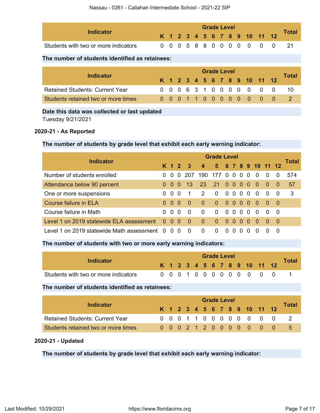| Indicator                            |  |  |  | <b>Grade Level</b> |  |  |                              | Total |
|--------------------------------------|--|--|--|--------------------|--|--|------------------------------|-------|
|                                      |  |  |  |                    |  |  | K 1 2 3 4 5 6 7 8 9 10 11 12 |       |
| Students with two or more indicators |  |  |  |                    |  |  | 0 0 0 5 8 8 0 0 0 0 0 0 0    |       |

## **The number of students identified as retainees:**

|                                        | <b>Grade Level</b> |  |  |  |  |  |  |  |  |  |  |                              |  |       |  |
|----------------------------------------|--------------------|--|--|--|--|--|--|--|--|--|--|------------------------------|--|-------|--|
| <b>Indicator</b>                       |                    |  |  |  |  |  |  |  |  |  |  | K 1 2 3 4 5 6 7 8 9 10 11 12 |  | Total |  |
| <b>Retained Students: Current Year</b> |                    |  |  |  |  |  |  |  |  |  |  | 0 0 0 6 3 1 0 0 0 0 0 0 0    |  |       |  |
| Students retained two or more times    |                    |  |  |  |  |  |  |  |  |  |  | 0 0 0 1 1 0 0 0 0 0 0 0 0    |  |       |  |

## **Date this data was collected or last updated**

Tuesday 9/21/2021

### **2020-21 - As Reported**

## **The number of students by grade level that exhibit each early warning indicator:**

| <b>Indicator</b>                              |          | <b>Grade Level</b> |          |                         |                         |                |                |          |                  |          |                    |          |          |       |  |
|-----------------------------------------------|----------|--------------------|----------|-------------------------|-------------------------|----------------|----------------|----------|------------------|----------|--------------------|----------|----------|-------|--|
|                                               |          | K 1 2              |          | $\overline{\mathbf{3}}$ | $\overline{\mathbf{A}}$ |                |                |          |                  |          | 5 6 7 8 9 10 11 12 |          |          | Total |  |
| Number of students enrolled                   | $\Omega$ | $\Omega$           | $\Omega$ | -207                    | 190                     | 177            | $\Omega$       | $\Omega$ | $\Omega$         | 0        | $\Omega$           | $\Omega$ | $\Omega$ | 574   |  |
| Attendance below 90 percent                   | 0        | $\Omega$           | 0        | $-137$                  | 23                      | $21 \t 0 \t 0$ |                |          | $\bullet$        | - 0      | - 0                | $\Omega$ | -0       | 57    |  |
| One or more suspensions                       | 0        | $\Omega$           | - 0      | -1                      | 2                       | $\Omega$       | 0 <sub>0</sub> |          | റ റ              |          | - 0                | $\Omega$ | - 0      | -3    |  |
| Course failure in ELA                         | $\Omega$ | 0                  | - 0      | - 0                     | $\Omega$                | $\Omega$       | $0000$         |          |                  |          | - 0                | - 0      | - 0      |       |  |
| Course failure in Math                        | 0        | $\Omega$           | - 0      | $\Omega$                | $\Omega$                | $\Omega$       | $\Omega$       | $\Omega$ | - 0              | $\Omega$ | $\overline{0}$     | $\Omega$ | - 0      |       |  |
| Level 1 on 2019 statewide ELA assessment      |          | $0\quad 0\quad 0$  |          | - 0                     | $\Omega$                | $\Omega$       | $\Omega$       | - 0      | $\Omega$         | $\Omega$ | -0                 | 0        | - 0      |       |  |
| Level 1 on 2019 statewide Math assessment 0 0 |          |                    | 0        | $\Omega$                | $\Omega$                | 0              | <sup>n</sup>   |          | $\left( \right)$ | $\Omega$ | <sup>0</sup>       |          | $\Omega$ |       |  |

## **The number of students with two or more early warning indicators:**

|                                      |  |  |  |  | <b>Grade Level</b> |  |                              |              |
|--------------------------------------|--|--|--|--|--------------------|--|------------------------------|--------------|
| Indicator                            |  |  |  |  |                    |  | K 1 2 3 4 5 6 7 8 9 10 11 12 | <b>Total</b> |
| Students with two or more indicators |  |  |  |  |                    |  | 0 0 0 1 0 0 0 0 0 0 0 0 0    |              |

### **The number of students identified as retainees:**

| Indicator                              |  |  |  |  | <b>Grade Level</b> |  |                              | Total |
|----------------------------------------|--|--|--|--|--------------------|--|------------------------------|-------|
|                                        |  |  |  |  |                    |  | K 1 2 3 4 5 6 7 8 9 10 11 12 |       |
| <b>Retained Students: Current Year</b> |  |  |  |  |                    |  | 0 0 0 1 1 0 0 0 0 0 0 0 0    |       |
| Students retained two or more times    |  |  |  |  |                    |  | 0 0 0 2 1 2 0 0 0 0 0 0 0    | 5.    |

#### **2020-21 - Updated**

**The number of students by grade level that exhibit each early warning indicator:**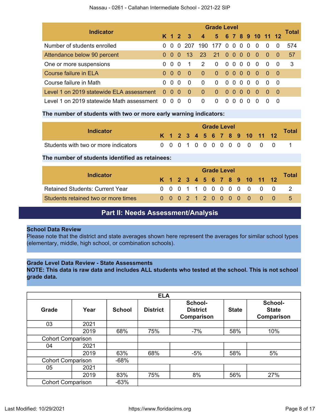| <b>Indicator</b>                          |                | <b>Grade Level</b> |          |          |                  |           |                  |              |                |          |                                    |                      |                |       |  |  |
|-------------------------------------------|----------------|--------------------|----------|----------|------------------|-----------|------------------|--------------|----------------|----------|------------------------------------|----------------------|----------------|-------|--|--|
|                                           |                | K 1 2              |          | -3       | $\boldsymbol{4}$ | 5 6 7 8 9 |                  |              |                |          | 10 11 12                           |                      |                | Total |  |  |
| Number of students enrolled               | 0              | $\Omega$           | $\Omega$ | -207     | 190              | -177      | $\Omega$         | $\Omega$     | 0 <sub>0</sub> |          | $\overline{0}$                     | $\overline{0}$       | $\overline{0}$ | 574   |  |  |
| Attendance below 90 percent               | $\Omega$       | -0                 | $\Omega$ | -13      | <b>23</b>        | <b>21</b> | 00               |              | 00             |          | 40                                 | $\blacktriangle$ 0 - | - 0            | 57    |  |  |
| One or more suspensions                   | 0              | $\Omega$           | 0        | -1       | 2                | $\Omega$  |                  | 0000         |                |          | - 0                                | $\Omega$             | - 0            | 3     |  |  |
| Course failure in ELA                     | $\Omega$       | -0                 | - 0      | - ೧      | $\overline{0}$   | $\Omega$  | -0               | - 0          | 00             |          | $\triangle 0$                      | - 0                  | - 0            |       |  |  |
| Course failure in Math                    | 0              | $\Omega$           | $\Omega$ | $\Omega$ | 0                | $\Omega$  | $\Omega$         | $\Omega$     | $\Omega$       | $\Omega$ | $\Omega$                           | $\Omega$             | - 0            |       |  |  |
| Level 1 on 2019 statewide ELA assessment  | $\Omega$       | 0 <sub>0</sub>     |          | - 0      | $\Omega$         | $\Omega$  | $\Omega$         | $\Omega$     | 0 <sub>0</sub> |          | $\triangleleft$ 0 $\triangleright$ | $\Omega$             | - 0            |       |  |  |
| Level 1 on 2019 statewide Math assessment | $\overline{0}$ | 00                 |          | - 0      | 0                | $\Omega$  | $\left( \right)$ | $\mathbf{U}$ | $\mathbf{U}$   |          | $\left($ )                         |                      | $\Omega$       |       |  |  |

### **The number of students with two or more early warning indicators:**

| Indicator                            |  |  |  | <b>Grade Level</b> |  |  |                              | <b>Total</b> |
|--------------------------------------|--|--|--|--------------------|--|--|------------------------------|--------------|
|                                      |  |  |  |                    |  |  | K 1 2 3 4 5 6 7 8 9 10 11 12 |              |
| Students with two or more indicators |  |  |  |                    |  |  | 0 0 0 1 0 0 0 0 0 0 0 0 0    |              |

### **The number of students identified as retainees:**

|                                        |  |  |  |  | <b>Grade Level</b> |  |                              |       |
|----------------------------------------|--|--|--|--|--------------------|--|------------------------------|-------|
| Indicator                              |  |  |  |  |                    |  | K 1 2 3 4 5 6 7 8 9 10 11 12 | Total |
| <b>Retained Students: Current Year</b> |  |  |  |  |                    |  | 0 0 0 1 1 0 0 0 0 0 0 0 0    |       |
| Students retained two or more times    |  |  |  |  |                    |  | 0 0 0 2 1 2 0 0 0 0 0 0 0    |       |

# **Part II: Needs Assessment/Analysis**

#### <span id="page-7-0"></span>**School Data Review**

Please note that the district and state averages shown here represent the averages for similar school types (elementary, middle, high school, or combination schools).

## **Grade Level Data Review - State Assessments**

**NOTE: This data is raw data and includes ALL students who tested at the school. This is not school grade data.**

|                          |                          |               | <b>ELA</b>      |                                          |              |                                       |
|--------------------------|--------------------------|---------------|-----------------|------------------------------------------|--------------|---------------------------------------|
| Grade                    | Year                     | <b>School</b> | <b>District</b> | School-<br><b>District</b><br>Comparison | <b>State</b> | School-<br><b>State</b><br>Comparison |
| 03                       | 2021                     |               |                 |                                          |              |                                       |
|                          | 2019                     | 68%           | 75%             | $-7%$                                    | 58%          | 10%                                   |
|                          | <b>Cohort Comparison</b> |               |                 |                                          |              |                                       |
| 04                       | 2021                     |               |                 |                                          |              |                                       |
|                          | 2019                     | 63%           | 68%             | $-5%$                                    | 58%          | 5%                                    |
|                          | <b>Cohort Comparison</b> |               |                 |                                          |              |                                       |
| 05                       | 2021                     |               |                 |                                          |              |                                       |
|                          | 2019                     | 83%           | 75%             | 8%                                       | 56%          | 27%                                   |
| <b>Cohort Comparison</b> |                          | $-63%$        |                 |                                          |              |                                       |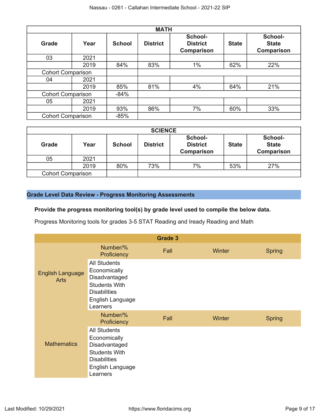|                          |                          |               | <b>MATH</b>     |                                          |              |                                       |
|--------------------------|--------------------------|---------------|-----------------|------------------------------------------|--------------|---------------------------------------|
| <b>Grade</b>             | Year                     | <b>School</b> | <b>District</b> | School-<br><b>District</b><br>Comparison | <b>State</b> | School-<br><b>State</b><br>Comparison |
| 03                       | 2021                     |               |                 |                                          |              |                                       |
|                          | 2019                     | 84%           | 83%             | 1%                                       | 62%          | 22%                                   |
|                          | <b>Cohort Comparison</b> |               |                 |                                          |              |                                       |
| 04                       | 2021                     |               |                 |                                          |              |                                       |
|                          | 2019                     | 85%           | 81%             | 4%                                       | 64%          | 21%                                   |
|                          | <b>Cohort Comparison</b> |               |                 |                                          |              |                                       |
| 05                       | 2021                     |               |                 |                                          |              |                                       |
|                          | 2019                     | 93%           | 86%             | 7%                                       | 60%          | 33%                                   |
| <b>Cohort Comparison</b> |                          | $-85%$        |                 |                                          |              |                                       |

|                          |      |               | <b>SCIENCE</b>  |                                          |              |                                              |
|--------------------------|------|---------------|-----------------|------------------------------------------|--------------|----------------------------------------------|
| <b>Grade</b>             | Year | <b>School</b> | <b>District</b> | School-<br><b>District</b><br>Comparison | <b>State</b> | School-<br><b>State</b><br><b>Comparison</b> |
| 05                       | 2021 |               |                 |                                          |              |                                              |
|                          | 2019 | 80%           | 73%             | 7%                                       | 53%          | 27%                                          |
| <b>Cohort Comparison</b> |      |               |                 |                                          |              |                                              |

## **Grade Level Data Review - Progress Monitoring Assessments**

## **Provide the progress monitoring tool(s) by grade level used to compile the below data.**

Progress Monitoring tools for grades 3-5 STAT Reading and Iready Reading and Math

|                                        |                                                                                                                                     | <b>Grade 3</b> |        |               |
|----------------------------------------|-------------------------------------------------------------------------------------------------------------------------------------|----------------|--------|---------------|
|                                        | Number/%<br>Proficiency                                                                                                             | Fall           | Winter | <b>Spring</b> |
| <b>English Language</b><br><b>Arts</b> | <b>All Students</b><br>Economically<br>Disadvantaged<br>Students With<br><b>Disabilities</b><br>English Language<br>Learners        |                |        |               |
|                                        | Number/%<br>Proficiency                                                                                                             | Fall           | Winter | <b>Spring</b> |
| <b>Mathematics</b>                     | <b>All Students</b><br>Economically<br>Disadvantaged<br><b>Students With</b><br><b>Disabilities</b><br>English Language<br>Learners |                |        |               |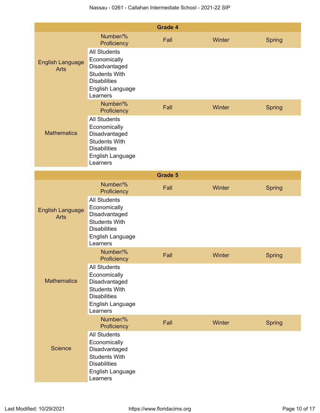|                                        |                                                                                                                                     | <b>Grade 4</b> |        |               |
|----------------------------------------|-------------------------------------------------------------------------------------------------------------------------------------|----------------|--------|---------------|
|                                        | Number/%<br>Proficiency                                                                                                             | Fall           | Winter | <b>Spring</b> |
| <b>English Language</b><br><b>Arts</b> | <b>All Students</b><br>Economically<br>Disadvantaged<br><b>Students With</b><br><b>Disabilities</b><br>English Language<br>Learners |                |        |               |
|                                        | Number/%<br>Proficiency                                                                                                             | Fall           | Winter | <b>Spring</b> |
| <b>Mathematics</b>                     | <b>All Students</b><br>Economically<br>Disadvantaged<br><b>Students With</b><br><b>Disabilities</b><br>English Language<br>Learners |                |        |               |
|                                        |                                                                                                                                     | <b>Grade 5</b> |        |               |
|                                        | Number/%<br>Proficiency                                                                                                             | Fall           | Winter | <b>Spring</b> |
| <b>English Language</b><br><b>Arts</b> | <b>All Students</b><br>Economically<br>Disadvantaged<br><b>Students With</b><br><b>Disabilities</b><br>English Language<br>Learners |                |        |               |
|                                        | Number/%<br>Proficiency                                                                                                             | Fall           | Winter | <b>Spring</b> |
| <b>Mathematics</b>                     | <b>All Students</b><br>Economically<br>Disadvantaged<br><b>Students With</b><br><b>Disabilities</b><br>English Language<br>Learners |                |        |               |
|                                        | Number/%<br>Proficiency                                                                                                             | Fall           | Winter | <b>Spring</b> |
| <b>Science</b>                         | <b>All Students</b><br>Economically<br>Disadvantaged<br><b>Students With</b><br><b>Disabilities</b><br>English Language<br>Learners |                |        |               |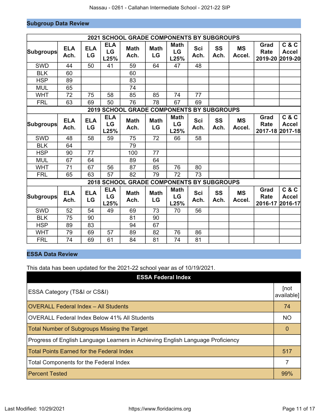# **Subgroup Data Review**

|                  |                    |                  |                          | <b>2021 SCHOOL GRADE COMPONENTS BY SUBGROUPS</b> |                   |                                  |                    |                   |                     |                                        |                                  |
|------------------|--------------------|------------------|--------------------------|--------------------------------------------------|-------------------|----------------------------------|--------------------|-------------------|---------------------|----------------------------------------|----------------------------------|
| <b>Subgroups</b> | <b>ELA</b><br>Ach. | <b>ELA</b><br>LG | <b>ELA</b><br>LG<br>L25% | <b>Math</b><br>Ach.                              | <b>Math</b><br>LG | <b>Math</b><br>LG<br>L25%        | <b>Sci</b><br>Ach. | <b>SS</b><br>Ach. | <b>MS</b><br>Accel. | Grad<br><b>Rate</b><br>2019-20 2019-20 | C & C<br><b>Accel</b>            |
| <b>SWD</b>       | 44                 | 50               | 41                       | 59                                               | 64                | 47                               | 48                 |                   |                     |                                        |                                  |
| <b>BLK</b>       | 60                 |                  |                          | 60                                               |                   |                                  |                    |                   |                     |                                        |                                  |
| <b>HSP</b>       | 89                 |                  |                          | 83                                               |                   |                                  |                    |                   |                     |                                        |                                  |
| <b>MUL</b>       | 65                 |                  |                          | 74                                               |                   |                                  |                    |                   |                     |                                        |                                  |
| <b>WHT</b>       | 72                 | 75               | 58                       | 85                                               | 85                | 74                               | 77                 |                   |                     |                                        |                                  |
| <b>FRL</b>       | 63                 | 69               | 50                       | 76                                               | 78                | 67                               | 69                 |                   |                     |                                        |                                  |
|                  |                    |                  |                          | 2019 SCHOOL GRADE COMPONENTS BY SUBGROUPS        |                   |                                  |                    |                   |                     |                                        |                                  |
| Subgroups        | <b>ELA</b><br>Ach. | <b>ELA</b><br>LG | <b>ELA</b><br>LG<br>L25% | <b>Math</b><br>Ach.                              | <b>Math</b><br>LG | <b>Math</b><br>LG<br>L25%        | <b>Sci</b><br>Ach. | <b>SS</b><br>Ach. | <b>MS</b><br>Accel. | Grad<br><b>Rate</b><br>2017-18 2017-18 | C & C<br><b>Accel</b>            |
| <b>SWD</b>       | 48                 | 58               | 59                       | 75                                               | 72                | 66                               | 58                 |                   |                     |                                        |                                  |
| <b>BLK</b>       | 64                 |                  |                          | 79                                               |                   |                                  |                    |                   |                     |                                        |                                  |
| <b>HSP</b>       | 90                 | 77               |                          | 100                                              | 77                |                                  |                    |                   |                     |                                        |                                  |
| <b>MUL</b>       | 67                 | 64               |                          | 89                                               | 64                |                                  |                    |                   |                     |                                        |                                  |
| <b>WHT</b>       | 71                 | 67               | 56                       | 87                                               | 85                | 76                               | 80                 |                   |                     |                                        |                                  |
| <b>FRL</b>       | 65                 | 63               | 57                       | 82                                               | 79                | 72                               | 73                 |                   |                     |                                        |                                  |
|                  |                    |                  |                          | <b>2018 SCHOOL GRADE COMPONENTS BY SUBGROUPS</b> |                   |                                  |                    |                   |                     |                                        |                                  |
| <b>Subgroups</b> | <b>ELA</b><br>Ach. | <b>ELA</b><br>LG | <b>ELA</b><br>LG<br>L25% | <b>Math</b><br>Ach.                              | <b>Math</b><br>LG | <b>Math</b><br><b>LG</b><br>L25% | <b>Sci</b><br>Ach. | SS<br>Ach.        | <b>MS</b><br>Accel. | Grad<br><b>Rate</b><br>2016-17         | C & C<br><b>Accel</b><br>2016-17 |
| <b>SWD</b>       | 52                 | 54               | 49                       | 69                                               | 73                | 70                               | 56                 |                   |                     |                                        |                                  |
| <b>BLK</b>       | 75                 | 90               |                          | 81                                               | 90                |                                  |                    |                   |                     |                                        |                                  |
| <b>HSP</b>       | 89                 | 83               |                          | 94                                               | 67                |                                  |                    |                   |                     |                                        |                                  |
| <b>WHT</b>       | 79                 | 69               | 57                       | 89                                               | 82                | 76                               | 86                 |                   |                     |                                        |                                  |
| <b>FRL</b>       | 74                 | 69               | 61                       | 84                                               | 81                | 74                               | 81                 |                   |                     |                                        |                                  |

# **ESSA Data Review**

This data has been updated for the 2021-22 school year as of 10/19/2021.

| <b>ESSA Federal Index</b>                                                       |                    |
|---------------------------------------------------------------------------------|--------------------|
| ESSA Category (TS&I or CS&I)                                                    | [not<br>available] |
| <b>OVERALL Federal Index - All Students</b>                                     | 74                 |
| <b>OVERALL Federal Index Below 41% All Students</b>                             | <b>NO</b>          |
| <b>Total Number of Subgroups Missing the Target</b>                             | $\Omega$           |
| Progress of English Language Learners in Achieving English Language Proficiency |                    |
| <b>Total Points Earned for the Federal Index</b>                                | 517                |
| <b>Total Components for the Federal Index</b>                                   | 7                  |
| <b>Percent Tested</b>                                                           | 99%                |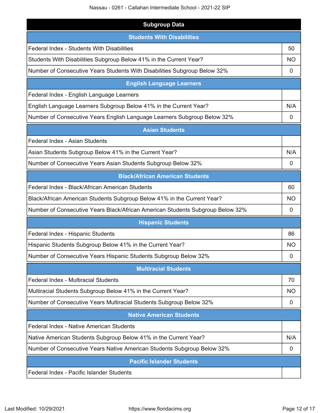Nassau - 0261 - Callahan Intermediate School - 2021-22 SIP

| <b>Subgroup Data</b>                                                           |           |
|--------------------------------------------------------------------------------|-----------|
| <b>Students With Disabilities</b>                                              |           |
| Federal Index - Students With Disabilities                                     | 50        |
| Students With Disabilities Subgroup Below 41% in the Current Year?             | <b>NO</b> |
| Number of Consecutive Years Students With Disabilities Subgroup Below 32%      | 0         |
| <b>English Language Learners</b>                                               |           |
| Federal Index - English Language Learners                                      |           |
| English Language Learners Subgroup Below 41% in the Current Year?              | N/A       |
| Number of Consecutive Years English Language Learners Subgroup Below 32%       | 0         |
| <b>Asian Students</b>                                                          |           |
| Federal Index - Asian Students                                                 |           |
| Asian Students Subgroup Below 41% in the Current Year?                         | N/A       |
| Number of Consecutive Years Asian Students Subgroup Below 32%                  | 0         |
| <b>Black/African American Students</b>                                         |           |
| Federal Index - Black/African American Students                                | 60        |
| Black/African American Students Subgroup Below 41% in the Current Year?        | <b>NO</b> |
| Number of Consecutive Years Black/African American Students Subgroup Below 32% | 0         |
| <b>Hispanic Students</b>                                                       |           |
| Federal Index - Hispanic Students                                              | 86        |
| Hispanic Students Subgroup Below 41% in the Current Year?                      | NO        |
| Number of Consecutive Years Hispanic Students Subgroup Below 32%               | 0         |
| <b>Multiracial Students</b>                                                    |           |
| Federal Index - Multiracial Students                                           | 70        |
| Multiracial Students Subgroup Below 41% in the Current Year?                   | <b>NO</b> |
| Number of Consecutive Years Multiracial Students Subgroup Below 32%            | 0         |
| <b>Native American Students</b>                                                |           |
| Federal Index - Native American Students                                       |           |
| Native American Students Subgroup Below 41% in the Current Year?               | N/A       |
| Number of Consecutive Years Native American Students Subgroup Below 32%        | 0         |
| <b>Pacific Islander Students</b>                                               |           |
| Federal Index - Pacific Islander Students                                      |           |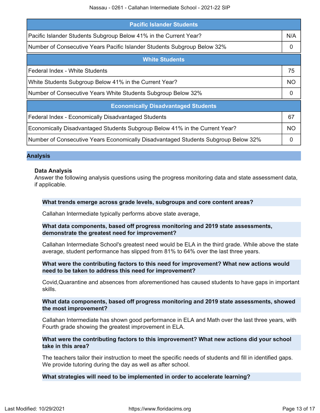Nassau - 0261 - Callahan Intermediate School - 2021-22 SIP

| <b>Pacific Islander Students</b>                                                   |           |
|------------------------------------------------------------------------------------|-----------|
| Pacific Islander Students Subgroup Below 41% in the Current Year?                  | N/A       |
| Number of Consecutive Years Pacific Islander Students Subgroup Below 32%           | 0         |
| <b>White Students</b>                                                              |           |
| Federal Index - White Students                                                     | 75        |
| White Students Subgroup Below 41% in the Current Year?                             | <b>NO</b> |
| Number of Consecutive Years White Students Subgroup Below 32%                      | $\Omega$  |
| <b>Economically Disadvantaged Students</b>                                         |           |
| Federal Index - Economically Disadvantaged Students                                | 67        |
| Economically Disadvantaged Students Subgroup Below 41% in the Current Year?        | <b>NO</b> |
| Number of Consecutive Years Economically Disadvantaged Students Subgroup Below 32% | 0         |

#### **Analysis**

#### **Data Analysis**

Answer the following analysis questions using the progress monitoring data and state assessment data, if applicable.

#### **What trends emerge across grade levels, subgroups and core content areas?**

Callahan Intermediate typically performs above state average,

#### **What data components, based off progress monitoring and 2019 state assessments, demonstrate the greatest need for improvement?**

Callahan Intermediate School's greatest need would be ELA in the third grade. While above the state average, student performance has slipped from 81% to 64% over the last three years.

#### **What were the contributing factors to this need for improvement? What new actions would need to be taken to address this need for improvement?**

Covid,Quarantine and absences from aforementioned has caused students to have gaps in important skills.

#### **What data components, based off progress monitoring and 2019 state assessments, showed the most improvement?**

Callahan Intermediate has shown good performance in ELA and Math over the last three years, with Fourth grade showing the greatest improvement in ELA.

### **What were the contributing factors to this improvement? What new actions did your school take in this area?**

The teachers tailor their instruction to meet the specific needs of students and fill in identified gaps. We provide tutoring during the day as well as after school.

#### **What strategies will need to be implemented in order to accelerate learning?**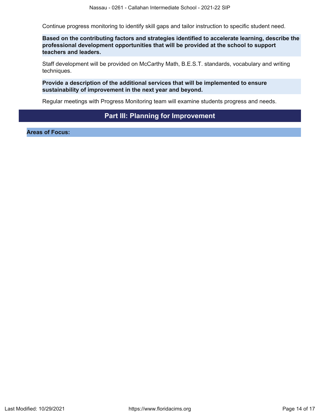Continue progress monitoring to identify skill gaps and tailor instruction to specific student need.

**Based on the contributing factors and strategies identified to accelerate learning, describe the professional development opportunities that will be provided at the school to support teachers and leaders.**

Staff development will be provided on McCarthy Math, B.E.S.T. standards, vocabulary and writing techniques.

**Provide a description of the additional services that will be implemented to ensure sustainability of improvement in the next year and beyond.**

Regular meetings with Progress Monitoring team will examine students progress and needs.

# **Part III: Planning for Improvement**

<span id="page-13-0"></span>**Areas of Focus:**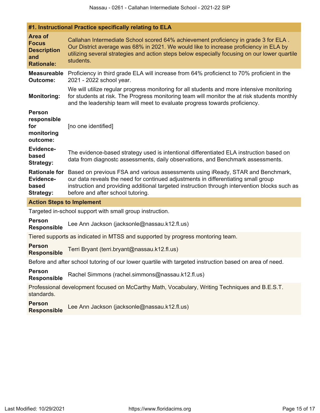|                                                                           | #1. Instructional Practice specifically relating to ELA                                                                                                                                                                                                                                                     |
|---------------------------------------------------------------------------|-------------------------------------------------------------------------------------------------------------------------------------------------------------------------------------------------------------------------------------------------------------------------------------------------------------|
| Area of<br><b>Focus</b><br><b>Description</b><br>and<br><b>Rationale:</b> | Callahan Intermediate School scored 64% achievement proficiency in grade 3 for ELA.<br>Our District average was 68% in 2021. We would like to increase proficiency in ELA by<br>utilizing several strategies and action steps below especially focusing on our lower quartile<br>students.                  |
| <b>Measureable</b><br><b>Outcome:</b>                                     | Proficiency in third grade ELA will increase from 64% proficienct to 70% proficient in the<br>2021 - 2022 school year.                                                                                                                                                                                      |
| <b>Monitoring:</b>                                                        | We will utilize regular progress monitoring for all students and more intensive monitoring<br>for students at risk. The Progress monitoring team will monitor the at risk students monthly<br>and the leadership team will meet to evaluate progress towards proficiency.                                   |
| <b>Person</b><br>responsible<br>for<br>monitoring<br>outcome:             | [no one identified]                                                                                                                                                                                                                                                                                         |
| Evidence-<br>based<br><b>Strategy:</b>                                    | The evidence-based strategy used is intentional differentiated ELA instruction based on<br>data from diagnostc assessments, daily observations, and Benchmark assessments.                                                                                                                                  |
| <b>Rationale for</b><br>Evidence-<br>based<br><b>Strategy:</b>            | Based on previous FSA and various assessments using iReady, STAR and Benchmark,<br>our data reveals the need for continued adjustments in differentiating small group<br>instruction and providing additional targeted instruction through intervention blocks such as<br>before and after school tutoring. |
| <b>Action Steps to Implement</b>                                          |                                                                                                                                                                                                                                                                                                             |
|                                                                           |                                                                                                                                                                                                                                                                                                             |

Targeted in-school support with small group instruction.

**Person Responsible** Lee Ann Jackson (jacksonle@nassau.k12.fl.us)

Tiered supports as indicated in MTSS and supported by progress montoring team.

**Person Responsible** Terri Bryant (terri.bryant@nassau.k12.fl.us)

Before and after school tutoring of our lower quartile with targeted instruction based on area of need.

**Person Responsible** Rachel Simmons (rachel.simmons@nassau.k12.fl.us)

Professional development focused on McCarthy Math, Vocabulary, Writing Techniques and B.E.S.T. standards.

**Person Responsible** Lee Ann Jackson (jacksonle@nassau.k12.fl.us)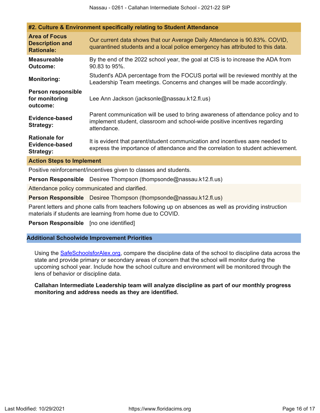|                                                                     | #2. Culture & Environment specifically relating to Student Attendance                                                                                                         |
|---------------------------------------------------------------------|-------------------------------------------------------------------------------------------------------------------------------------------------------------------------------|
| <b>Area of Focus</b><br><b>Description and</b><br><b>Rationale:</b> | Our current data shows that our Average Daily Attendance is 90.83%. COVID,<br>quarantined students and a local police emergency has attributed to this data.                  |
| <b>Measureable</b><br><b>Outcome:</b>                               | By the end of the 2022 school year, the goal at CIS is to increase the ADA from<br>90.83 to 95%.                                                                              |
| <b>Monitoring:</b>                                                  | Student's ADA percentage from the FOCUS portal will be reviewed monthly at the<br>Leadership Team meetings. Concerns and changes will be made accordingly.                    |
| Person responsible<br>for monitoring<br>outcome:                    | Lee Ann Jackson (jacksonle@nassau.k12.fl.us)                                                                                                                                  |
| Evidence-based<br><b>Strategy:</b>                                  | Parent communication will be used to bring awareness of attendance policy and to<br>implement student, classroom and school-wide positive incentives regarding<br>attendance. |
| <b>Rationale for</b><br>Evidence-based<br><b>Strategy:</b>          | It is evident that parent/student communication and incentives aare needed to<br>express the importance of attendance and the correlation to student achievement.             |
| <b>Action Steps to Implement</b>                                    |                                                                                                                                                                               |
|                                                                     | Marchine articles concentive continue where the classics and cloud code.                                                                                                      |

Positive reinforcement/incentives given to classes and students.

**Person Responsible** Desiree Thompson (thompsonde@nassau.k12.fl.us)

Attendance policy communicated and clarified.

**Person Responsible** Desiree Thompson (thompsonde@nassau.k12.fl.us)

Parent letters and phone calls from teachers following up on absences as well as providing instruction materials if students are learning from home due to COVID.

**Person Responsible** [no one identified]

#### **Additional Schoolwide Improvement Priorities**

Using the [SafeSchoolsforAlex.org](https://www.safeschoolsforalex.org/fl-school-safety-dashboard/), compare the discipline data of the school to discipline data across the state and provide primary or secondary areas of concern that the school will monitor during the upcoming school year. Include how the school culture and environment will be monitored through the lens of behavior or discipline data.

**Callahan Intermediate Leadership team will analyze discipline as part of our monthly progress monitoring and address needs as they are identified.**